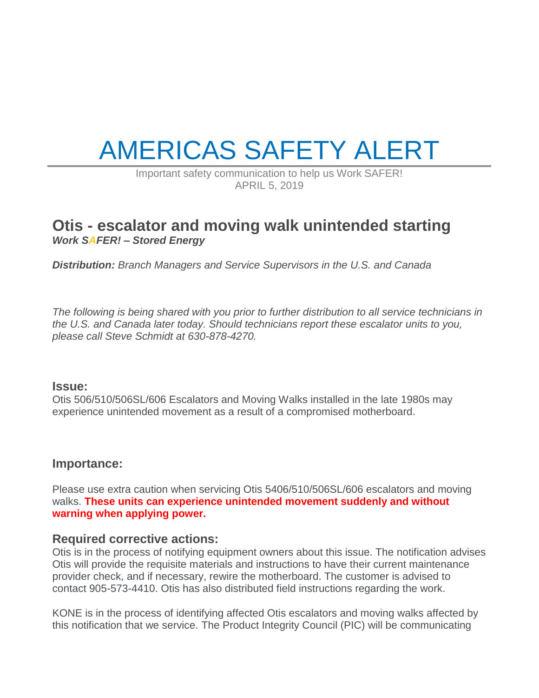# AMERICAS SAFETY ALERT

Important safety communication to help us Work SAFER! APRIL 5, 2019

## **Otis - escalator and moving walk unintended starting** *Work SAFER! – Stored Energy*

*Distribution: Branch Managers and Service Supervisors in the U.S. and Canada*

*The following is being shared with you prior to further distribution to all service technicians in the U.S. and Canada later today. Should technicians report these escalator units to you, please call Steve Schmidt at 630-878-4270.*

#### **Issue:**

Otis 506/510/506SL/606 Escalators and Moving Walks installed in the late 1980s may experience unintended movement as a result of a compromised motherboard.

#### **Importance:**

Please use extra caution when servicing Otis 5406/510/506SL/606 escalators and moving walks. **These units can experience unintended movement suddenly and without warning when applying power.**

#### **Required corrective actions:**

Otis is in the process of notifying equipment owners about this issue. The notification advises Otis will provide the requisite materials and instructions to have their current maintenance provider check, and if necessary, rewire the motherboard. The customer is advised to contact 905-573-4410. Otis has also distributed field instructions regarding the work.

KONE is in the process of identifying affected Otis escalators and moving walks affected by this notification that we service. The Product Integrity Council (PIC) will be communicating